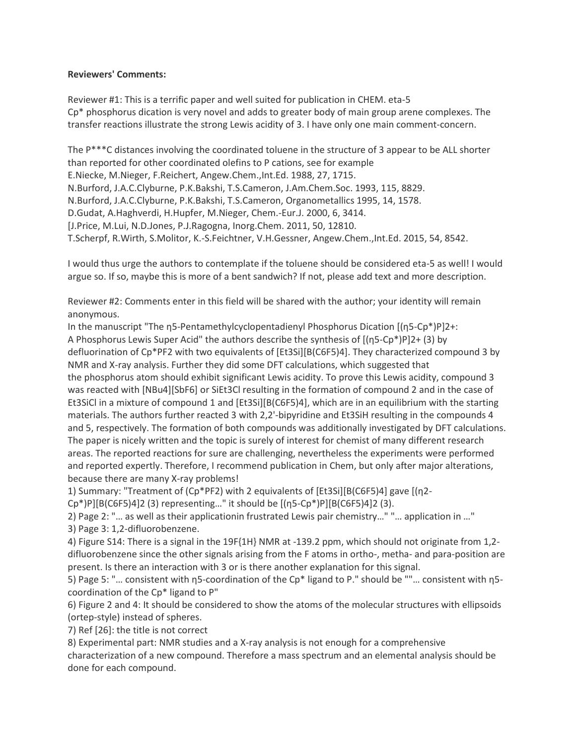## **Reviewers' Comments:**

Reviewer #1: This is a terrific paper and well suited for publication in CHEM. eta-5 Cp\* phosphorus dication is very novel and adds to greater body of main group arene complexes. The transfer reactions illustrate the strong Lewis acidity of 3. I have only one main comment-concern.

The P\*\*\*C distances involving the coordinated toluene in the structure of 3 appear to be ALL shorter than reported for other coordinated olefins to P cations, see for example E.Niecke, M.Nieger, F.Reichert, Angew.Chem.,Int.Ed. 1988, 27, 1715. N.Burford, J.A.C.Clyburne, P.K.Bakshi, T.S.Cameron, J.Am.Chem.Soc. 1993, 115, 8829. N.Burford, J.A.C.Clyburne, P.K.Bakshi, T.S.Cameron, Organometallics 1995, 14, 1578. D.Gudat, A.Haghverdi, H.Hupfer, M.Nieger, Chem.-Eur.J. 2000, 6, 3414. [J.Price, M.Lui, N.D.Jones, P.J.Ragogna, Inorg.Chem. 2011, 50, 12810. T.Scherpf, R.Wirth, S.Molitor, K.-S.Feichtner, V.H.Gessner, Angew.Chem.,Int.Ed. 2015, 54, 8542.

I would thus urge the authors to contemplate if the toluene should be considered eta-5 as well! I would argue so. If so, maybe this is more of a bent sandwich? If not, please add text and more description.

Reviewer #2: Comments enter in this field will be shared with the author; your identity will remain anonymous.

In the manuscript "The η5-Pentamethylcyclopentadienyl Phosphorus Dication [(η5-Cp\*)P]2+: A Phosphorus Lewis Super Acid" the authors describe the synthesis of [(η5-Cp\*)P]2+ (3) by defluorination of Cp\*PF2 with two equivalents of [Et3Si][B(C6F5)4]. They characterized compound 3 by NMR and X-ray analysis. Further they did some DFT calculations, which suggested that the phosphorus atom should exhibit significant Lewis acidity. To prove this Lewis acidity, compound 3 was reacted with [NBu4][SbF6] or SiEt3Cl resulting in the formation of compound 2 and in the case of Et3SiCl in a mixture of compound 1 and [Et3Si][B(C6F5)4], which are in an equilibrium with the starting materials. The authors further reacted 3 with 2,2'-bipyridine and Et3SiH resulting in the compounds 4 and 5, respectively. The formation of both compounds was additionally investigated by DFT calculations. The paper is nicely written and the topic is surely of interest for chemist of many different research areas. The reported reactions for sure are challenging, nevertheless the experiments were performed and reported expertly. Therefore, I recommend publication in Chem, but only after major alterations, because there are many X-ray problems!

1) Summary: "Treatment of (Cp\*PF2) with 2 equivalents of [Et3Si][B(C6F5)4] gave [(η2-

Cp\*)P][B(C6F5)4]2 (3) representing…" it should be [(η5-Cp\*)P][B(C6F5)4]2 (3).

2) Page 2: "… as well as their applicationin frustrated Lewis pair chemistry…" "… application in …" 3) Page 3: 1,2-difluorobenzene.

4) Figure S14: There is a signal in the 19F{1H} NMR at -139.2 ppm, which should not originate from 1,2 difluorobenzene since the other signals arising from the F atoms in ortho-, metha- and para-position are present. Is there an interaction with 3 or is there another explanation for this signal.

5) Page 5: "… consistent with η5-coordination of the Cp\* ligand to P." should be ""… consistent with η5 coordination of the Cp\* ligand to P"

6) Figure 2 and 4: It should be considered to show the atoms of the molecular structures with ellipsoids (ortep-style) instead of spheres.

7) Ref [26]: the title is not correct

8) Experimental part: NMR studies and a X-ray analysis is not enough for a comprehensive

characterization of a new compound. Therefore a mass spectrum and an elemental analysis should be done for each compound.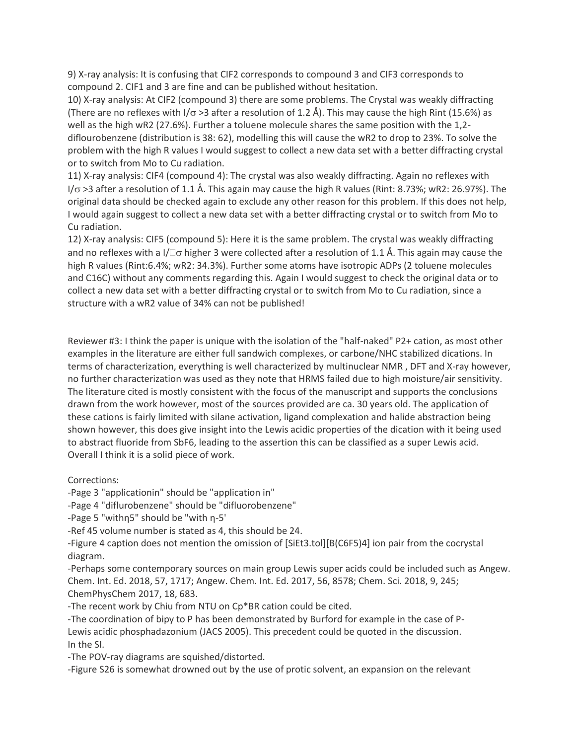9) X-ray analysis: It is confusing that CIF2 corresponds to compound 3 and CIF3 corresponds to compound 2. CIF1 and 3 are fine and can be published without hesitation.

10) X-ray analysis: At CIF2 (compound 3) there are some problems. The Crystal was weakly diffracting (There are no reflexes with I/ $\sigma$  >3 after a resolution of 1.2 Å). This may cause the high Rint (15.6%) as well as the high wR2 (27.6%). Further a toluene molecule shares the same position with the 1,2 diflourobenzene (distribution is 38: 62), modelling this will cause the wR2 to drop to 23%. To solve the problem with the high R values I would suggest to collect a new data set with a better diffracting crystal or to switch from Mo to Cu radiation.

11) X-ray analysis: CIF4 (compound 4): The crystal was also weakly diffracting. Again no reflexes with  $I/\sigma$  >3 after a resolution of 1.1 Å. This again may cause the high R values (Rint: 8.73%; wR2: 26.97%). The original data should be checked again to exclude any other reason for this problem. If this does not help, I would again suggest to collect a new data set with a better diffracting crystal or to switch from Mo to Cu radiation.

12) X-ray analysis: CIF5 (compound 5): Here it is the same problem. The crystal was weakly diffracting and no reflexes with a  $1/\Box\sigma$  higher 3 were collected after a resolution of 1.1 Å. This again may cause the high R values (Rint:6.4%; wR2: 34.3%). Further some atoms have isotropic ADPs (2 toluene molecules and C16C) without any comments regarding this. Again I would suggest to check the original data or to collect a new data set with a better diffracting crystal or to switch from Mo to Cu radiation, since a structure with a wR2 value of 34% can not be published!

Reviewer #3: I think the paper is unique with the isolation of the "half-naked" P2+ cation, as most other examples in the literature are either full sandwich complexes, or carbone/NHC stabilized dications. In terms of characterization, everything is well characterized by multinuclear NMR , DFT and X-ray however, no further characterization was used as they note that HRMS failed due to high moisture/air sensitivity. The literature cited is mostly consistent with the focus of the manuscript and supports the conclusions drawn from the work however, most of the sources provided are ca. 30 years old. The application of these cations is fairly limited with silane activation, ligand complexation and halide abstraction being shown however, this does give insight into the Lewis acidic properties of the dication with it being used to abstract fluoride from SbF6, leading to the assertion this can be classified as a super Lewis acid. Overall I think it is a solid piece of work.

Corrections:

-Page 3 "applicationin" should be "application in"

-Page 4 "diflurobenzene" should be "difluorobenzene"

-Page 5 "withη5" should be "with η-5'

-Ref 45 volume number is stated as 4, this should be 24.

-Figure 4 caption does not mention the omission of [SiEt3.tol][B(C6F5)4] ion pair from the cocrystal diagram.

-Perhaps some contemporary sources on main group Lewis super acids could be included such as Angew. Chem. Int. Ed. 2018, 57, 1717; Angew. Chem. Int. Ed. 2017, 56, 8578; Chem. Sci. 2018, 9, 245; ChemPhysChem 2017, 18, 683.

-The recent work by Chiu from NTU on Cp\*BR cation could be cited.

-The coordination of bipy to P has been demonstrated by Burford for example in the case of P-Lewis acidic phosphadazonium (JACS 2005). This precedent could be quoted in the discussion. In the SI.

-The POV-ray diagrams are squished/distorted.

-Figure S26 is somewhat drowned out by the use of protic solvent, an expansion on the relevant